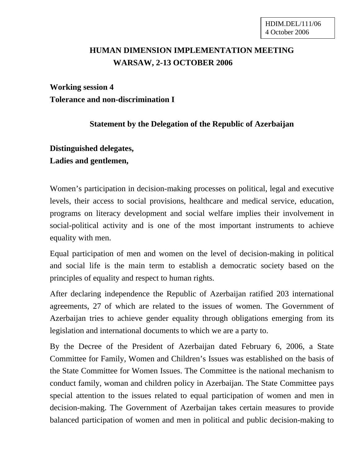## **HUMAN DIMENSION IMPLEMENTATION MEETING WARSAW, 2-13 OCTOBER 2006**

## **Working session 4 Tolerance and non-discrimination I**

## **Statement by the Delegation of the Republic of Azerbaijan**

## **Distinguished delegates, Ladies and gentlemen,**

Women's participation in decision-making processes on political, legal and executive levels, their access to social provisions, healthcare and medical service, education, programs on literacy development and social welfare implies their involvement in social-political activity and is one of the most important instruments to achieve equality with men.

Equal participation of men and women on the level of decision-making in political and social life is the main term to establish a democratic society based on the principles of equality and respect to human rights.

After declaring independence the Republic of Azerbaijan ratified 203 international agreements, 27 of which are related to the issues of women. The Government of Azerbaijan tries to achieve gender equality through obligations emerging from its legislation and international documents to which we are a party to.

By the Decree of the President of Azerbaijan dated February 6, 2006, a State Committee for Family, Women and Children's Issues was established on the basis of the State Committee for Women Issues. The Committee is the national mechanism to conduct family, woman and children policy in Azerbaijan. The State Committee pays special attention to the issues related to equal participation of women and men in decision-making. The Government of Azerbaijan takes certain measures to provide balanced participation of women and men in political and public decision-making to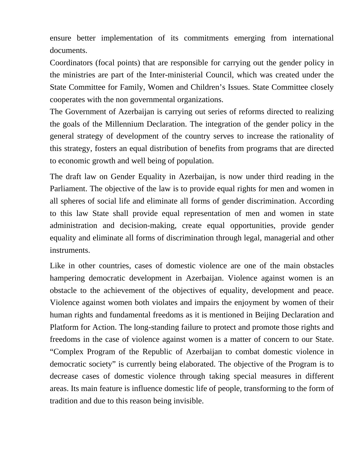ensure better implementation of its commitments emerging from international documents.

Coordinators (focal points) that are responsible for carrying out the gender policy in the ministries are part of the Inter-ministerial Council, which was created under the State Committee for Family, Women and Children's Issues. State Committee closely cooperates with the non governmental organizations.

The Government of Azerbaijan is carrying out series of reforms directed to realizing the goals of the Millennium Declaration. The integration of the gender policy in the general strategy of development of the country serves to increase the rationality of this strategy, fosters an equal distribution of benefits from programs that are directed to economic growth and well being of population.

The draft law on Gender Equality in Azerbaijan, is now under third reading in the Parliament. The objective of the law is to provide equal rights for men and women in all spheres of social life and eliminate all forms of gender discrimination. According to this law State shall provide equal representation of men and women in state administration and decision-making, create equal opportunities, provide gender equality and eliminate all forms of discrimination through legal, managerial and other instruments.

Like in other countries, cases of domestic violence are one of the main obstacles hampering democratic development in Azerbaijan. Violence against women is an obstacle to the achievement of the objectives of equality, development and peace. Violence against women both violates and impairs the enjoyment by women of their human rights and fundamental freedoms as it is mentioned in Beijing Declaration and Platform for Action. The long-standing failure to protect and promote those rights and freedoms in the case of violence against women is a matter of concern to our State. "Complex Program of the Republic of Azerbaijan to combat domestic violence in democratic society" is currently being elaborated. The objective of the Program is to decrease cases of domestic violence through taking special measures in different areas. Its main feature is influence domestic life of people, transforming to the form of tradition and due to this reason being invisible.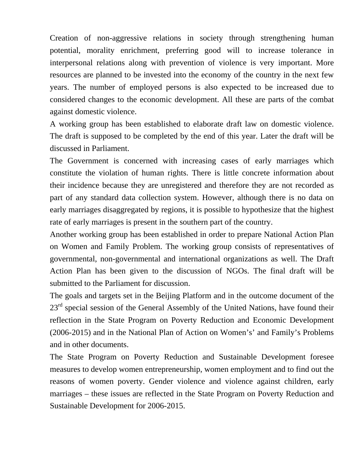Creation of non-aggressive relations in society through strengthening human potential, morality enrichment, preferring good will to increase tolerance in interpersonal relations along with prevention of violence is very important. More resources are planned to be invested into the economy of the country in the next few years. The number of employed persons is also expected to be increased due to considered changes to the economic development. All these are parts of the combat against domestic violence.

A working group has been established to elaborate draft law on domestic violence. The draft is supposed to be completed by the end of this year. Later the draft will be discussed in Parliament.

The Government is concerned with increasing cases of early marriages which constitute the violation of human rights. There is little concrete information about their incidence because they are unregistered and therefore they are not recorded as part of any standard data collection system. However, although there is no data on early marriages disaggregated by regions, it is possible to hypothesize that the highest rate of early marriages is present in the southern part of the country.

Another working group has been established in order to prepare National Action Plan on Women and Family Problem. The working group consists of representatives of governmental, non-governmental and international organizations as well. The Draft Action Plan has been given to the discussion of NGOs. The final draft will be submitted to the Parliament for discussion.

The goals and targets set in the Beijing Platform and in the outcome document of the  $23<sup>rd</sup>$  special session of the General Assembly of the United Nations, have found their reflection in the State Program on Poverty Reduction and Economic Development (2006-2015) and in the National Plan of Action on Women's' and Family's Problems and in other documents.

The State Program on Poverty Reduction and Sustainable Development foresee measures to develop women entrepreneurship, women employment and to find out the reasons of women poverty. Gender violence and violence against children, early marriages – these issues are reflected in the State Program on Poverty Reduction and Sustainable Development for 2006-2015.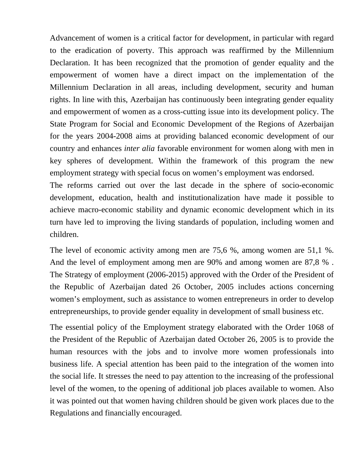Advancement of women is a critical factor for development, in particular with regard to the eradication of poverty. This approach was reaffirmed by the Millennium Declaration. It has been recognized that the promotion of gender equality and the empowerment of women have a direct impact on the implementation of the Millennium Declaration in all areas, including development, security and human rights. In line with this, Azerbaijan has continuously been integrating gender equality and empowerment of women as a cross-cutting issue into its development policy. The State Program for Social and Economic Development of the Regions of Azerbaijan for the years 2004-2008 aims at providing balanced economic development of our country and enhances *inter alia* favorable environment for women along with men in key spheres of development. Within the framework of this program the new employment strategy with special focus on women's employment was endorsed.

The reforms carried out over the last decade in the sphere of socio-economic development, education, health and institutionalization have made it possible to achieve macro-economic stability and dynamic economic development which in its turn have led to improving the living standards of population, including women and children.

The level of economic activity among men are 75,6 %, among women are 51,1 %. And the level of employment among men are 90% and among women are 87,8 % . The Strategy of employment (2006-2015) approved with the Order of the President of the Republic of Azerbaijan dated 26 October, 2005 includes actions concerning women's employment, such as assistance to women entrepreneurs in order to develop entrepreneurships, to provide gender equality in development of small business etc.

The essential policy of the Employment strategy elaborated with the Order 1068 of the President of the Republic of Azerbaijan dated October 26, 2005 is to provide the human resources with the jobs and to involve more women professionals into business life. A special attention has been paid to the integration of the women into the social life. It stresses the need to pay attention to the increasing of the professional level of the women, to the opening of additional job places available to women. Also it was pointed out that women having children should be given work places due to the Regulations and financially encouraged.